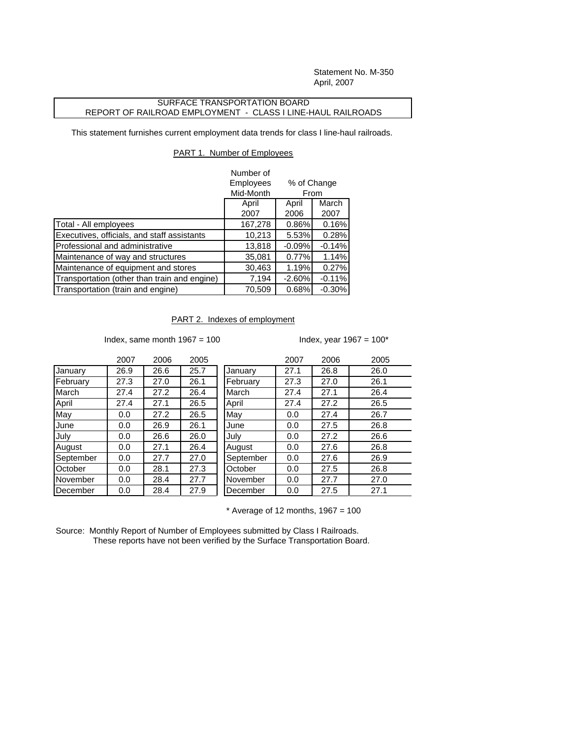Statement No. M-350 April, 2007

## SURFACE TRANSPORTATION BOARD REPORT OF RAILROAD EMPLOYMENT - CLASS I LINE-HAUL RAILROADS

This statement furnishes current employment data trends for class I line-haul railroads.

## PART 1. Number of Employees

|                                              | Number of |                     |          |
|----------------------------------------------|-----------|---------------------|----------|
|                                              | Employees | % of Change<br>From |          |
|                                              | Mid-Month |                     |          |
|                                              | April     | April               | March    |
|                                              | 2007      | 2006                | 2007     |
| Total - All employees                        | 167,278   | $0.86\%$            | 0.16%    |
| Executives, officials, and staff assistants  | 10,213    | 5.53%               | 0.28%    |
| Professional and administrative              | 13,818    | $-0.09%$            | $-0.14%$ |
| Maintenance of way and structures            | 35,081    | 0.77%               | 1.14%    |
| Maintenance of equipment and stores          | 30,463    | 1.19%               | 0.27%    |
| Transportation (other than train and engine) | 7,194     | $-2.60%$            | $-0.11%$ |
| Transportation (train and engine)            | 70,509    | 0.68%               | $-0.30%$ |

## PART 2. Indexes of employment

Index, same month  $1967 = 100$  Index, year  $1967 = 100^*$ 

|           | 2007 | 2006 | 2005 |           | 2007 | 2006 | 2005 |
|-----------|------|------|------|-----------|------|------|------|
| January   | 26.9 | 26.6 | 25.7 | January   | 27.1 | 26.8 | 26.0 |
| February  | 27.3 | 27.0 | 26.1 | February  | 27.3 | 27.0 | 26.1 |
| March     | 27.4 | 27.2 | 26.4 | March     | 27.4 | 27.1 | 26.4 |
| April     | 27.4 | 27.1 | 26.5 | April     | 27.4 | 27.2 | 26.5 |
| May       | 0.0  | 27.2 | 26.5 | May       | 0.0  | 27.4 | 26.7 |
| June      | 0.0  | 26.9 | 26.1 | June      | 0.0  | 27.5 | 26.8 |
| Julv      | 0.0  | 26.6 | 26.0 | July      | 0.0  | 27.2 | 26.6 |
| August    | 0.0  | 27.1 | 26.4 | August    | 0.0  | 27.6 | 26.8 |
| September | 0.0  | 27.7 | 27.0 | September | 0.0  | 27.6 | 26.9 |
| October   | 0.0  | 28.1 | 27.3 | October   | 0.0  | 27.5 | 26.8 |
| November  | 0.0  | 28.4 | 27.7 | November  | 0.0  | 27.7 | 27.0 |
| December  | 0.0  | 28.4 | 27.9 | December  | 0.0  | 27.5 | 27.1 |
|           |      |      |      |           |      |      |      |

 $*$  Average of 12 months, 1967 = 100

Source: Monthly Report of Number of Employees submitted by Class I Railroads. These reports have not been verified by the Surface Transportation Board.